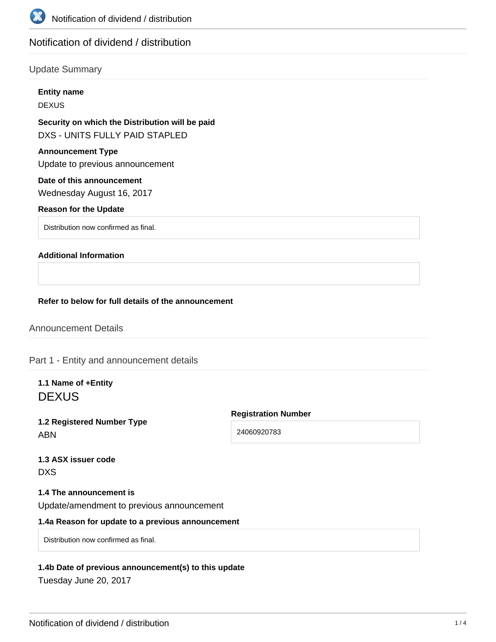

# Notification of dividend / distribution

## Update Summary

#### **Entity name**

DEXUS

# **Security on which the Distribution will be paid** DXS - UNITS FULLY PAID STAPLED

# **Announcement Type**

Update to previous announcement

# **Date of this announcement**

Wednesday August 16, 2017

### **Reason for the Update**

Distribution now confirmed as final.

### **Additional Information**

#### **Refer to below for full details of the announcement**

Announcement Details

Part 1 - Entity and announcement details

**1.1 Name of +Entity DEXUS** 

**1.2 Registered Number Type** ABN

**Registration Number**

24060920783

|     | <b>1.3 ASX issuer code</b> |  |
|-----|----------------------------|--|
| DXS |                            |  |

### **1.4 The announcement is**

Update/amendment to previous announcement

## **1.4a Reason for update to a previous announcement**

Distribution now confirmed as final.

### **1.4b Date of previous announcement(s) to this update**

Tuesday June 20, 2017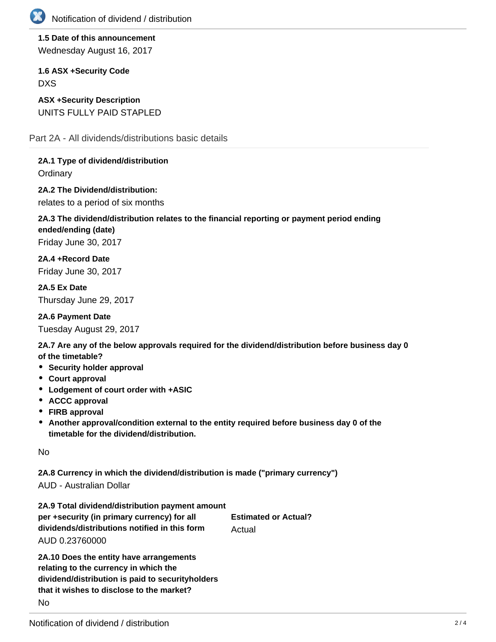

**1.5 Date of this announcement** Wednesday August 16, 2017

**1.6 ASX +Security Code** DXS

**ASX +Security Description** UNITS FULLY PAID STAPLED

Part 2A - All dividends/distributions basic details

**2A.1 Type of dividend/distribution**

**Ordinary** 

**2A.2 The Dividend/distribution:** relates to a period of six months

# **2A.3 The dividend/distribution relates to the financial reporting or payment period ending ended/ending (date)** Friday June 30, 2017

**2A.4 +Record Date** Friday June 30, 2017

**2A.5 Ex Date** Thursday June 29, 2017

**2A.6 Payment Date** Tuesday August 29, 2017

**2A.7 Are any of the below approvals required for the dividend/distribution before business day 0 of the timetable?**

- **•** Security holder approval
- **Court approval**
- **Lodgement of court order with +ASIC**
- **ACCC approval**
- **FIRB approval**
- **Another approval/condition external to the entity required before business day 0 of the timetable for the dividend/distribution.**

No

**2A.8 Currency in which the dividend/distribution is made ("primary currency")**

AUD - Australian Dollar

| 2A.9 Total dividend/distribution payment amount |                             |
|-------------------------------------------------|-----------------------------|
| per +security (in primary currency) for all     | <b>Estimated or Actual?</b> |
| dividends/distributions notified in this form   | Actual                      |
| AUD 0.23760000                                  |                             |
|                                                 |                             |

**2A.10 Does the entity have arrangements relating to the currency in which the dividend/distribution is paid to securityholders that it wishes to disclose to the market?** No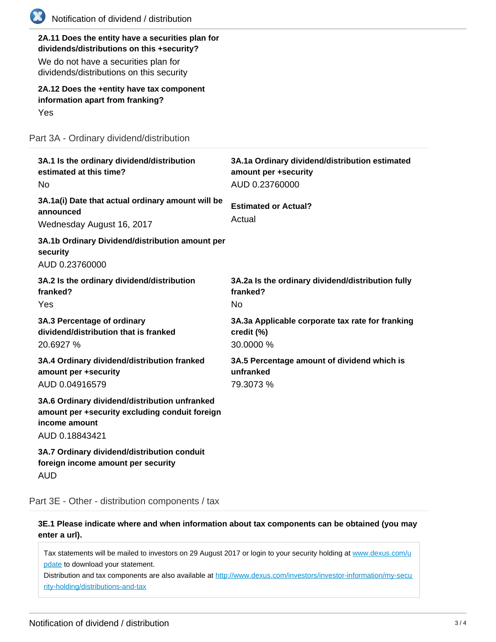| Notification of dividend / distribution                                                                                                                                            |                                                                                          |
|------------------------------------------------------------------------------------------------------------------------------------------------------------------------------------|------------------------------------------------------------------------------------------|
| 2A.11 Does the entity have a securities plan for<br>dividends/distributions on this +security?<br>We do not have a securities plan for<br>dividends/distributions on this security |                                                                                          |
| 2A.12 Does the +entity have tax component<br>information apart from franking?<br>Yes                                                                                               |                                                                                          |
| Part 3A - Ordinary dividend/distribution                                                                                                                                           |                                                                                          |
| 3A.1 Is the ordinary dividend/distribution<br>estimated at this time?<br>No.                                                                                                       | 3A.1a Ordinary dividend/distribution estimated<br>amount per +security<br>AUD 0.23760000 |
| 3A.1a(i) Date that actual ordinary amount will be<br>announced<br>Wednesday August 16, 2017                                                                                        | <b>Estimated or Actual?</b><br>Actual                                                    |
| 3A.1b Ordinary Dividend/distribution amount per<br>security<br>AUD 0.23760000                                                                                                      |                                                                                          |
| 3A.2 Is the ordinary dividend/distribution<br>franked?<br>Yes                                                                                                                      | 3A.2a Is the ordinary dividend/distribution fully<br>franked?<br>No.                     |
| 3A.3 Percentage of ordinary<br>dividend/distribution that is franked<br>20.6927 %                                                                                                  | 3A.3a Applicable corporate tax rate for franking<br>credit (%)<br>30.0000 %              |
| 3A.4 Ordinary dividend/distribution franked<br>amount per +security<br>AUD 0.04916579                                                                                              | 3A.5 Percentage amount of dividend which is<br>unfranked<br>79.3073 %                    |
| 3A.6 Ordinary dividend/distribution unfranked<br>amount per +security excluding conduit foreign<br>income amount<br>AUD 0.18843421                                                 |                                                                                          |
| 3A.7 Ordinary dividend/distribution conduit<br>foreign income amount per security<br><b>AUD</b>                                                                                    |                                                                                          |

Part 3E - Other - distribution components / tax

**3E.1 Please indicate where and when information about tax components can be obtained (you may enter a url).**

Tax statements will be mailed to investors on 29 August 2017 or login to your security holding at [www.dexus.com/u](http://www.dexus.com/update) [pdate](http://www.dexus.com/update) to download your statement.

Distribution and tax components are also available at [http://www.dexus.com/investors/investor-information/my-secu](http://www.dexus.com/investors/investor-information/my-security-holding/distributions-and-tax) [rity-holding/distributions-and-tax](http://www.dexus.com/investors/investor-information/my-security-holding/distributions-and-tax)